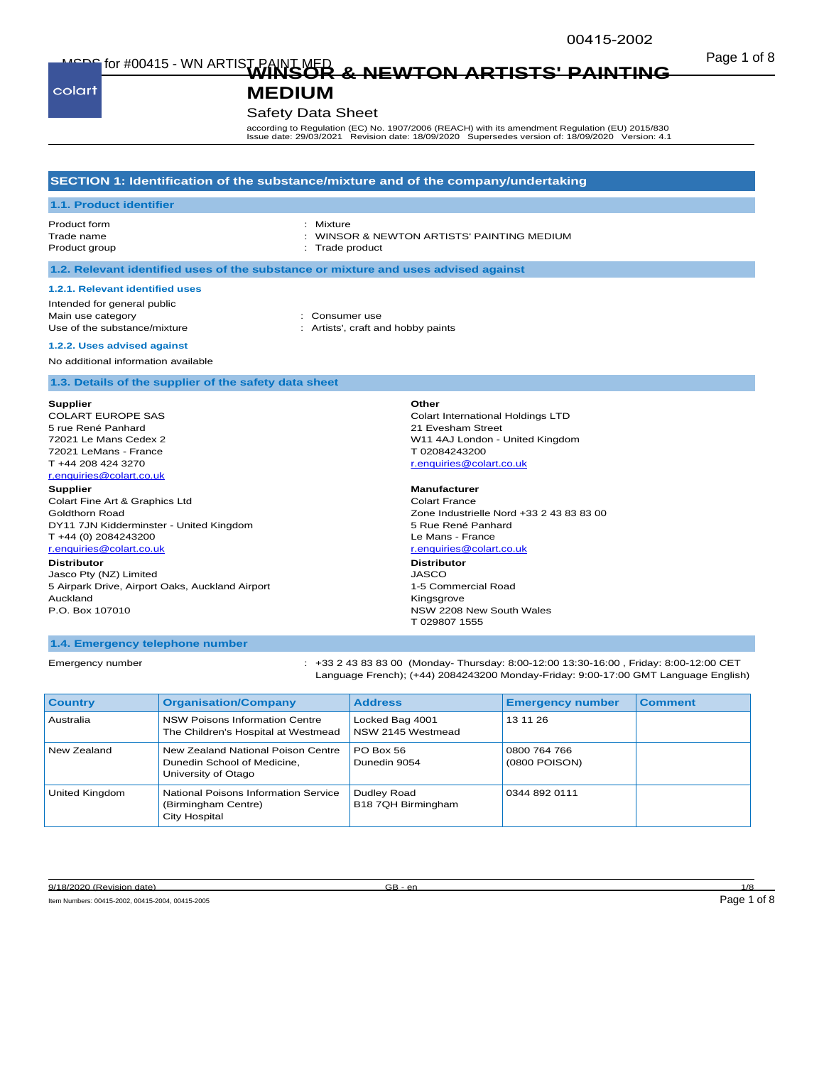Page 1 of 8 MSDS for #00415 - WN ARTIST PAINT MED **WINSOR & NEWTON ARTISTS' PAINTING** 

colart

# **MEDIUM**

## Safety Data Sheet

according to Regulation (EC) No. 1907/2006 (REACH) with its amendment Regulation (EU) 2015/830 Issue date: 29/03/2021 Revision date: 18/09/2020 Supersedes version of: 18/09/2020 Version: 4.1

### **SECTION 1: Identification of the substance/mixture and of the company/undertaking**

#### **1.1. Product identifier**

Product form **: Mixture** Product group **in the case of the case of the case of the case of the case of the case of the case of the case of the case of the case of the case of the case of the case of the case of the case of the case of the case of** 

Trade name : WINSOR & NEWTON ARTISTS' PAINTING MEDIUM

#### **1.2. Relevant identified uses of the substance or mixture and uses advised against**

#### **1.2.1. Relevant identified uses**

Intended for general public Main use category **Example 20** and the consumer use

- 
- Use of the substance/mixture in the substance/mixture in the state of the substance of the substance of the state of the state of the state of the state of the state of the state of the state of the state of the state of t

#### **1.2.2. Uses advised against**

No additional information available

### **1.3. Details of the supplier of the safety data sheet**

#### **Supplier**

COLART EUROPE SAS 5 rue René Panhard 72021 Le Mans Cedex 2 72021 LeMans - France T +44 208 424 3270 r.enquiries@colart.co.uk

#### **Supplier**

Colart Fine Art & Graphics Ltd Goldthorn Road DY11 7JN Kidderminster - United Kingdom T +44 (0) 2084243200 r.enquiries@colart.co.uk

#### **Distributor**

Jasco Pty (NZ) Limited 5 Airpark Drive, Airport Oaks, Auckland Airport Auckland P.O. Box 107010

# **Other**

Colart International Holdings LTD 21 Evesham Street W11 4AJ London - United Kingdom T 02084243200 r.enquiries@colart.co.uk

**Manufacturer** Colart France Zone Industrielle Nord +33 2 43 83 83 00 5 Rue René Panhard Le Mans - France r.enquiries@colart.co.uk **Distributor** JASCO 1-5 Commercial Road Kingsgrove NSW 2208 New South Wales T 029807 1555

### **1.4. Emergency telephone number**

Emergency number : +33 2 43 83 83 00 (Monday- Thursday: 8:00-12:00 13:30-16:00 , Friday: 8:00-12:00 CET Language French); (+44) 2084243200 Monday-Friday: 9:00-17:00 GMT Language English)

| <b>Country</b> | <b>Organisation/Company</b>                                                              | <b>Address</b>                       | <b>Emergency number</b>       | <b>Comment</b> |
|----------------|------------------------------------------------------------------------------------------|--------------------------------------|-------------------------------|----------------|
| Australia      | NSW Poisons Information Centre<br>The Children's Hospital at Westmead                    | Locked Bag 4001<br>NSW 2145 Westmead | 13 11 26                      |                |
| New Zealand    | New Zealand National Poison Centre<br>Dunedin School of Medicine,<br>University of Otago | PO Box 56<br>Dunedin 9054            | 0800 764 766<br>(0800 POISON) |                |
| United Kingdom | National Poisons Information Service<br>(Birmingham Centre)<br><b>City Hospital</b>      | Dudley Road<br>B18 7QH Birmingham    | 0344 892 0111                 |                |

9/18/2020 (Revision date) 6/18 and 1/8 and 1/8 and 1/8 and 1/8 and 1/8 and 1/8 and 1/8 and 1/8 and 1/8 and 1/8 and 1/8 and 1/8 and 1/8 and 1/8 and 1/8 and 1/8 and 1/8 and 1/8 and 1/8 and 1/8 and 1/8 and 1/8 and 1/8 and 1/8

Item Numbers: 00415-2002, 00415-2004, 00415-2005 Page 1 of 8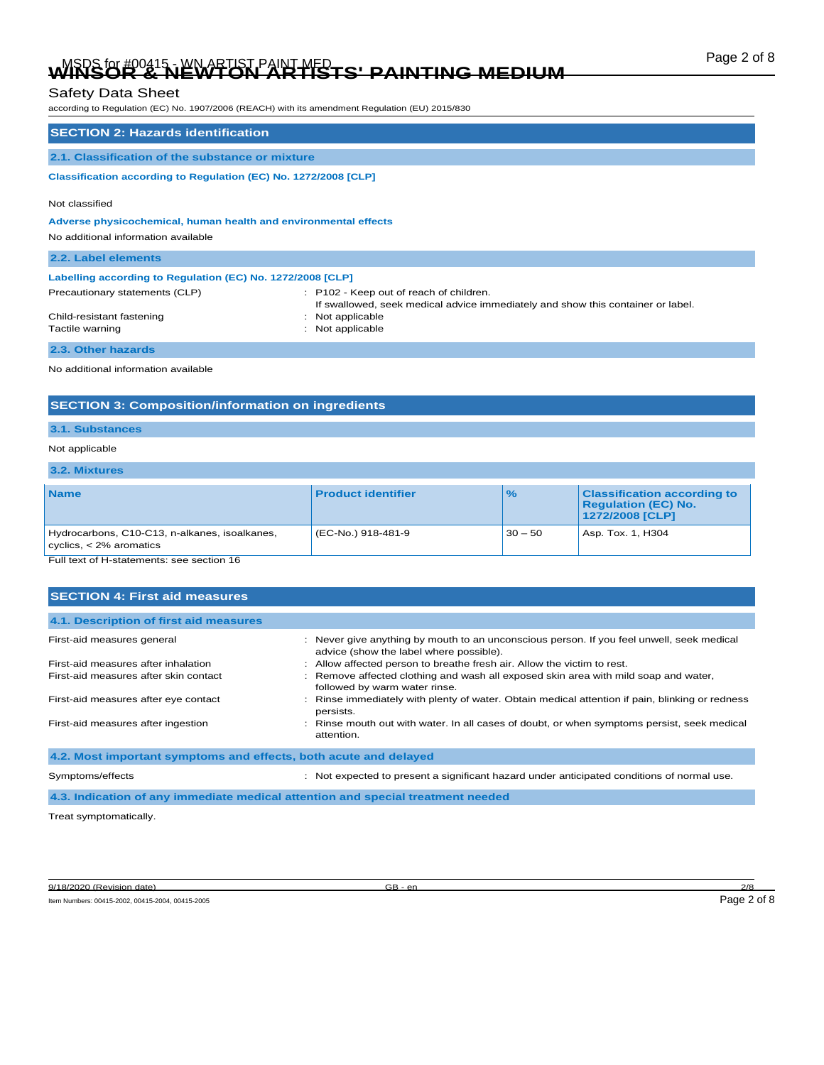# Page 2 of 8 MSDS for #00415 - WN ARTIST PAINT MED **WINSOR & NEWTON ARTISTS' PAINTING MEDIUM**

# Safety Data Sheet

according to Regulation (EC) No. 1907/2006 (REACH) with its amendment Regulation (EU) 2015/830

| <b>SECTION 2: Hazards identification</b>                        |                                                                                                                            |  |  |
|-----------------------------------------------------------------|----------------------------------------------------------------------------------------------------------------------------|--|--|
| 2.1. Classification of the substance or mixture                 |                                                                                                                            |  |  |
| Classification according to Regulation (EC) No. 1272/2008 [CLP] |                                                                                                                            |  |  |
| Not classified                                                  |                                                                                                                            |  |  |
| Adverse physicochemical, human health and environmental effects |                                                                                                                            |  |  |
| No additional information available                             |                                                                                                                            |  |  |
| 2.2. Label elements                                             |                                                                                                                            |  |  |
| Labelling according to Regulation (EC) No. 1272/2008 [CLP]      |                                                                                                                            |  |  |
| Precautionary statements (CLP)                                  | : P102 - Keep out of reach of children.<br>If swallowed, seek medical advice immediately and show this container or label. |  |  |
| Child-resistant fastening                                       | : Not applicable                                                                                                           |  |  |
| Tactile warning                                                 | : Not applicable                                                                                                           |  |  |
| 2.3. Other hazards                                              |                                                                                                                            |  |  |
| No additional information available                             |                                                                                                                            |  |  |

No additional information available

## **SECTION 3: Composition/information on ingredients**

## **3.1. Substances**

## Not applicable

## **3.2. Mixtures**

| <b>Name</b>                                                                | <b>Product identifier</b> | $\frac{1}{2}$ | <b>Classification according to</b><br><b>Regulation (EC) No.</b><br>1272/2008 [CLP] |
|----------------------------------------------------------------------------|---------------------------|---------------|-------------------------------------------------------------------------------------|
| Hydrocarbons, C10-C13, n-alkanes, isoalkanes,<br>cyclics, $<$ 2% aromatics | (EC-No.) 918-481-9        | $30 - 50$     | Asp. Tox. 1, H304                                                                   |

Full text of H-statements: see section 16

| <b>SECTION 4: First aid measures</b>                             |                                                                                                                                      |
|------------------------------------------------------------------|--------------------------------------------------------------------------------------------------------------------------------------|
| 4.1. Description of first aid measures                           |                                                                                                                                      |
| First-aid measures general                                       | : Never give anything by mouth to an unconscious person. If you feel unwell, seek medical<br>advice (show the label where possible). |
| First-aid measures after inhalation                              | Allow affected person to breathe fresh air. Allow the victim to rest.                                                                |
| First-aid measures after skin contact                            | : Remove affected clothing and wash all exposed skin area with mild soap and water,<br>followed by warm water rinse.                 |
| First-aid measures after eye contact                             | : Rinse immediately with plenty of water. Obtain medical attention if pain, blinking or redness<br>persists.                         |
| First-aid measures after ingestion                               | : Rinse mouth out with water. In all cases of doubt, or when symptoms persist, seek medical<br>attention.                            |
| 4.2. Most important symptoms and effects, both acute and delayed |                                                                                                                                      |
| Symptoms/effects                                                 | Not expected to present a significant hazard under anticipated conditions of normal use.                                             |

**4.3. Indication of any immediate medical attention and special treatment needed**

Treat symptomatically.

9/18/2020 (Revision date) GB - en 2/8

Item Numbers: 00415-2002, 00415-2004, 00415-2005 Page 2 of 8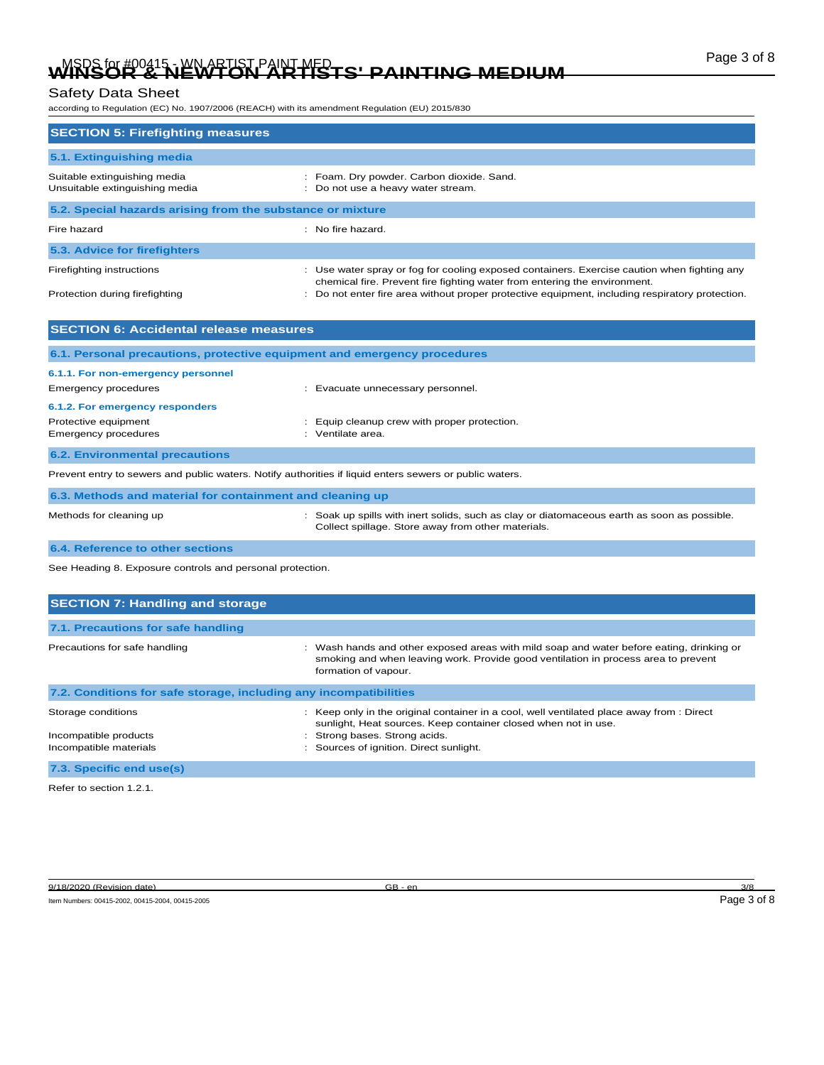# Page 3 of 8 MSDS for #00415 - WN ARTIST PAINT MED **WINSOR & NEWTON ARTISTS' PAINTING MEDIUM**

# Safety Data Sheet

according to Regulation (EC) No. 1907/2006 (REACH) with its amendment Regulation (EU) 2015/830

| <b>SECTION 5: Firefighting measures</b>                        |                                                                                                                                                                          |  |  |  |
|----------------------------------------------------------------|--------------------------------------------------------------------------------------------------------------------------------------------------------------------------|--|--|--|
| 5.1. Extinguishing media                                       |                                                                                                                                                                          |  |  |  |
| Suitable extinguishing media<br>Unsuitable extinguishing media | : Foam. Dry powder. Carbon dioxide. Sand.<br>: Do not use a heavy water stream.                                                                                          |  |  |  |
| 5.2. Special hazards arising from the substance or mixture     |                                                                                                                                                                          |  |  |  |
| Fire hazard                                                    | $:$ No fire hazard.                                                                                                                                                      |  |  |  |
| 5.3. Advice for firefighters                                   |                                                                                                                                                                          |  |  |  |
| Firefighting instructions                                      | : Use water spray or fog for cooling exposed containers. Exercise caution when fighting any<br>chemical fire. Prevent fire fighting water from entering the environment. |  |  |  |
| Protection during firefighting                                 | : Do not enter fire area without proper protective equipment, including respiratory protection.                                                                          |  |  |  |

| <b>SECTION 6: Accidental release measures</b>                                                           |                                                                                                                                                 |  |  |
|---------------------------------------------------------------------------------------------------------|-------------------------------------------------------------------------------------------------------------------------------------------------|--|--|
| 6.1. Personal precautions, protective equipment and emergency procedures                                |                                                                                                                                                 |  |  |
| 6.1.1. For non-emergency personnel                                                                      |                                                                                                                                                 |  |  |
| Emergency procedures                                                                                    | Evacuate unnecessary personnel.                                                                                                                 |  |  |
| 6.1.2. For emergency responders                                                                         |                                                                                                                                                 |  |  |
| Protective equipment<br>Emergency procedures                                                            | Equip cleanup crew with proper protection.<br>Ventilate area.<br>٠.                                                                             |  |  |
| <b>6.2. Environmental precautions</b>                                                                   |                                                                                                                                                 |  |  |
| Prevent entry to sewers and public waters. Notify authorities if liquid enters sewers or public waters. |                                                                                                                                                 |  |  |
| 6.3. Methods and material for containment and cleaning up                                               |                                                                                                                                                 |  |  |
| Methods for cleaning up                                                                                 | Soak up spills with inert solids, such as clay or diatomaceous earth as soon as possible.<br>Collect spillage. Store away from other materials. |  |  |

**6.4. Reference to other sections**

See Heading 8. Exposure controls and personal protection.

| <b>SECTION 7: Handling and storage</b>                            |                                                                                                                                                                                                        |  |  |  |
|-------------------------------------------------------------------|--------------------------------------------------------------------------------------------------------------------------------------------------------------------------------------------------------|--|--|--|
| 7.1. Precautions for safe handling                                |                                                                                                                                                                                                        |  |  |  |
| Precautions for safe handling                                     | : Wash hands and other exposed areas with mild soap and water before eating, drinking or<br>smoking and when leaving work. Provide good ventilation in process area to prevent<br>formation of vapour. |  |  |  |
| 7.2. Conditions for safe storage, including any incompatibilities |                                                                                                                                                                                                        |  |  |  |
| Storage conditions                                                | : Keep only in the original container in a cool, well ventilated place away from : Direct<br>sunlight, Heat sources. Keep container closed when not in use.                                            |  |  |  |
| Incompatible products                                             | : Strong bases. Strong acids.                                                                                                                                                                          |  |  |  |
| Incompatible materials                                            | Sources of ignition. Direct sunlight.                                                                                                                                                                  |  |  |  |
| 7.3. Specific end use(s)                                          |                                                                                                                                                                                                        |  |  |  |
|                                                                   |                                                                                                                                                                                                        |  |  |  |

Refer to section 1.2.1.

9/18/2020 (Revision date) GB - en 3/8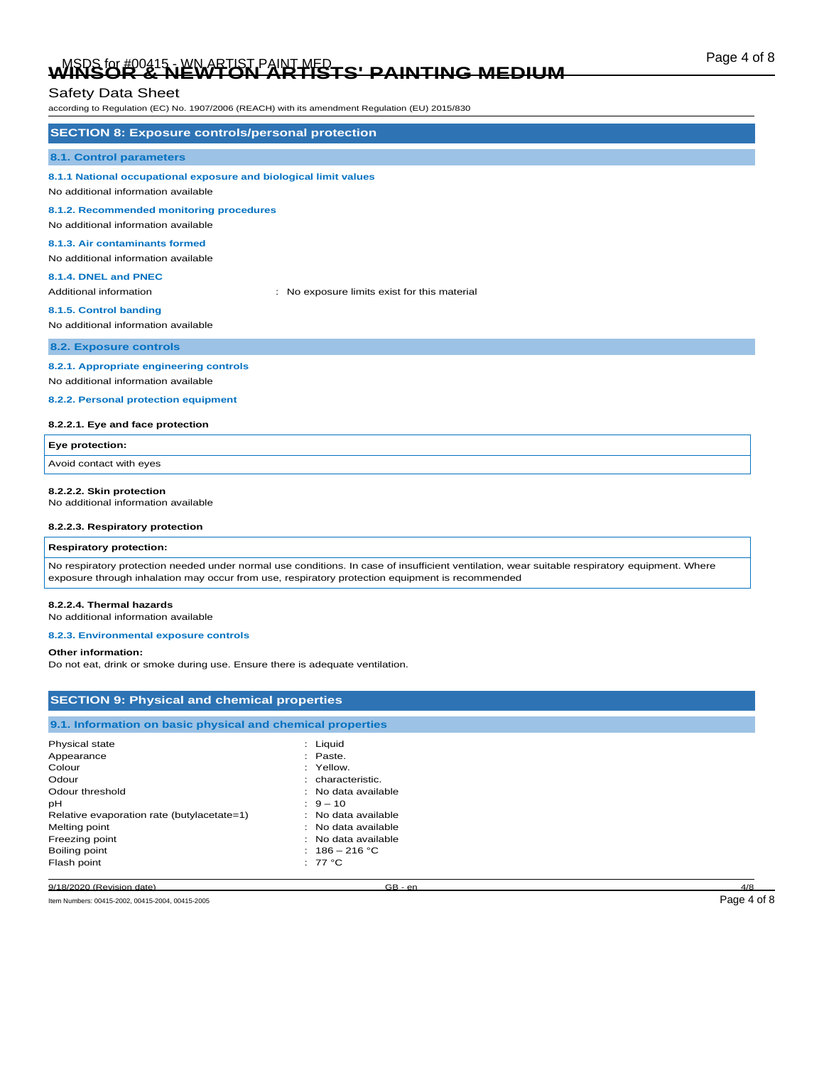# Page 4 of 8 MSDS for #00415 - WN ARTIST PAINT MED **WINSOR & NEWTON ARTISTS' PAINTING MEDIUM**

# Safety Data Sheet

according to Regulation (EC) No. 1907/2006 (REACH) with its amendment Regulation (EU) 2015/830

| <b>SECTION 8: Exposure controls/personal protection</b>                                                                |                                              |  |  |
|------------------------------------------------------------------------------------------------------------------------|----------------------------------------------|--|--|
|                                                                                                                        |                                              |  |  |
| <b>8.1. Control parameters</b>                                                                                         |                                              |  |  |
| 8.1.1 National occupational exposure and biological limit values<br>No additional information available                |                                              |  |  |
| 8.1.2. Recommended monitoring procedures<br>No additional information available                                        |                                              |  |  |
| 8.1.3. Air contaminants formed<br>No additional information available                                                  |                                              |  |  |
| 8.1.4. DNEL and PNEC<br>Additional information                                                                         | : No exposure limits exist for this material |  |  |
| 8.1.5. Control banding<br>No additional information available                                                          |                                              |  |  |
| 8.2. Exposure controls                                                                                                 |                                              |  |  |
| 8.2.1. Appropriate engineering controls<br>No additional information available<br>8.2.2. Personal protection equipment |                                              |  |  |

#### **8.2.2.1. Eye and face protection**

| Eye protection:         |  |
|-------------------------|--|
| Avoid contact with eyes |  |
|                         |  |

#### **8.2.2.2. Skin protection**

No additional information available

# **8.2.2.3. Respiratory protection**

### **Respiratory protection:**

No respiratory protection needed under normal use conditions. In case of insufficient ventilation, wear suitable respiratory equipment. Where exposure through inhalation may occur from use, respiratory protection equipment is recommended

#### **8.2.2.4. Thermal hazards**

No additional information available

### **8.2.3. Environmental exposure controls**

#### **Other information:**

Do not eat, drink or smoke during use. Ensure there is adequate ventilation.

| <b>SECTION 9: Physical and chemical properties</b>         |                     |     |  |  |
|------------------------------------------------------------|---------------------|-----|--|--|
| 9.1. Information on basic physical and chemical properties |                     |     |  |  |
| Physical state                                             | : Liquid            |     |  |  |
| Appearance                                                 | : Paste.            |     |  |  |
| Colour                                                     | : Yellow.           |     |  |  |
| Odour                                                      | : characteristic.   |     |  |  |
| Odour threshold                                            | : No data available |     |  |  |
| рH                                                         | $9 - 10$            |     |  |  |
| Relative evaporation rate (butylacetate=1)                 | : No data available |     |  |  |
| Melting point                                              | : No data available |     |  |  |
| Freezing point                                             | : No data available |     |  |  |
| Boiling point                                              | : $186 - 216 °C$    |     |  |  |
| Flash point                                                | : $77^{\circ}$ C    |     |  |  |
| 9/18/2020 (Revision date)                                  | $GB - en$           | 4/8 |  |  |

Item Numbers: 00415-2002, 00415-2004, 00415-2005 Page 4 of 8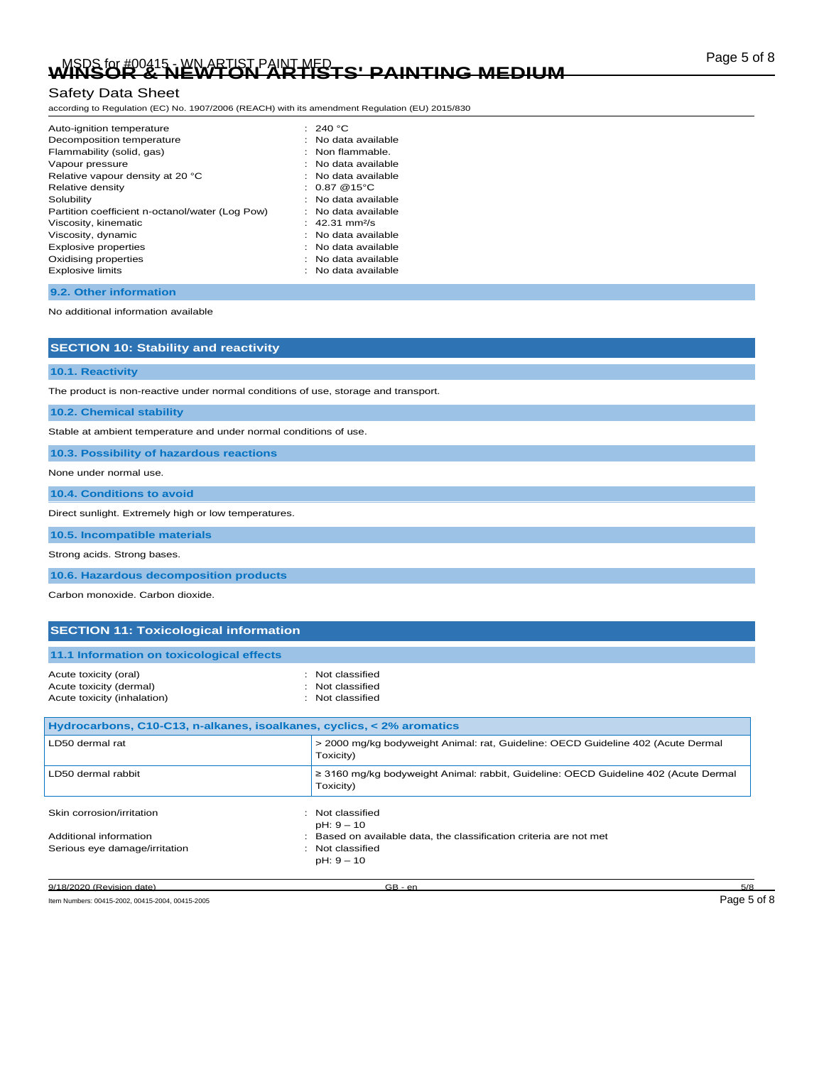# Page 5 of 8 MSDS for #00415 - WN ARTIST PAINT MED **WINSOR & NEWTON ARTISTS' PAINTING MEDIUM**

# Safety Data Sheet

according to Regulation (EC) No. 1907/2006 (REACH) with its amendment Regulation (EU) 2015/830

| Auto-ignition temperature                       | : 240 $^{\circ}$ C         |
|-------------------------------------------------|----------------------------|
| Decomposition temperature                       | No data available          |
| Flammability (solid, gas)                       | $:$ Non flammable.         |
| Vapour pressure                                 | No data available          |
| Relative vapour density at 20 °C                | : No data available        |
| Relative density                                | : $0.87@15°C$              |
| Solubility                                      | : No data available        |
| Partition coefficient n-octanol/water (Log Pow) | No data available          |
| Viscosity, kinematic                            | : 42.31 mm <sup>2</sup> /s |
| Viscosity, dynamic                              | No data available          |
| <b>Explosive properties</b>                     | No data available          |
| Oxidising properties                            | : No data available        |
| <b>Explosive limits</b>                         | No data available          |
|                                                 |                            |

**9.2. Other information**

No additional information available

**10.1. Reactivity**

The product is non-reactive under normal conditions of use, storage and transport.

**10.2. Chemical stability**

Stable at ambient temperature and under normal conditions of use.

**10.3. Possibility of hazardous reactions**

**SECTION 10: Stability and reactivity**

None under normal use.

**10.4. Conditions to avoid**

Direct sunlight. Extremely high or low temperatures.

**10.5. Incompatible materials**

Strong acids. Strong bases.

**10.6. Hazardous decomposition products**

Carbon monoxide. Carbon dioxide.

## **SECTION 11: Toxicological information**

| 11.1 Information on toxicological effects        |                                      |
|--------------------------------------------------|--------------------------------------|
| Acute toxicity (oral)<br>Acute toxicity (dermal) | : Not classified<br>: Not classified |
| Acute toxicity (inhalation)                      | : Not classified                     |

| Hydrocarbons, C10-C13, n-alkanes, isoalkanes, cyclics, < 2% aromatics |                                                                                                        |  |
|-----------------------------------------------------------------------|--------------------------------------------------------------------------------------------------------|--|
| LD50 dermal rat                                                       | > 2000 mg/kg bodyweight Animal: rat, Guideline: OECD Guideline 402 (Acute Dermal<br>Toxicity)          |  |
| LD50 dermal rabbit                                                    | $\geq$ 3160 mg/kg bodyweight Animal: rabbit, Guideline: OECD Guideline 402 (Acute Dermal<br>Toxicity)  |  |
| Skin corrosion/irritation                                             | : Not classified<br>$pH: 9 - 10$                                                                       |  |
| Additional information<br>Serious eye damage/irritation               | : Based on available data, the classification criteria are not met<br>: Not classified<br>$pH: 9 - 10$ |  |

9/18/2020 (Revision date) GB - en 5/8

Item Numbers: 00415-2002, 00415-2004, 00415-2005 Page 5 of 8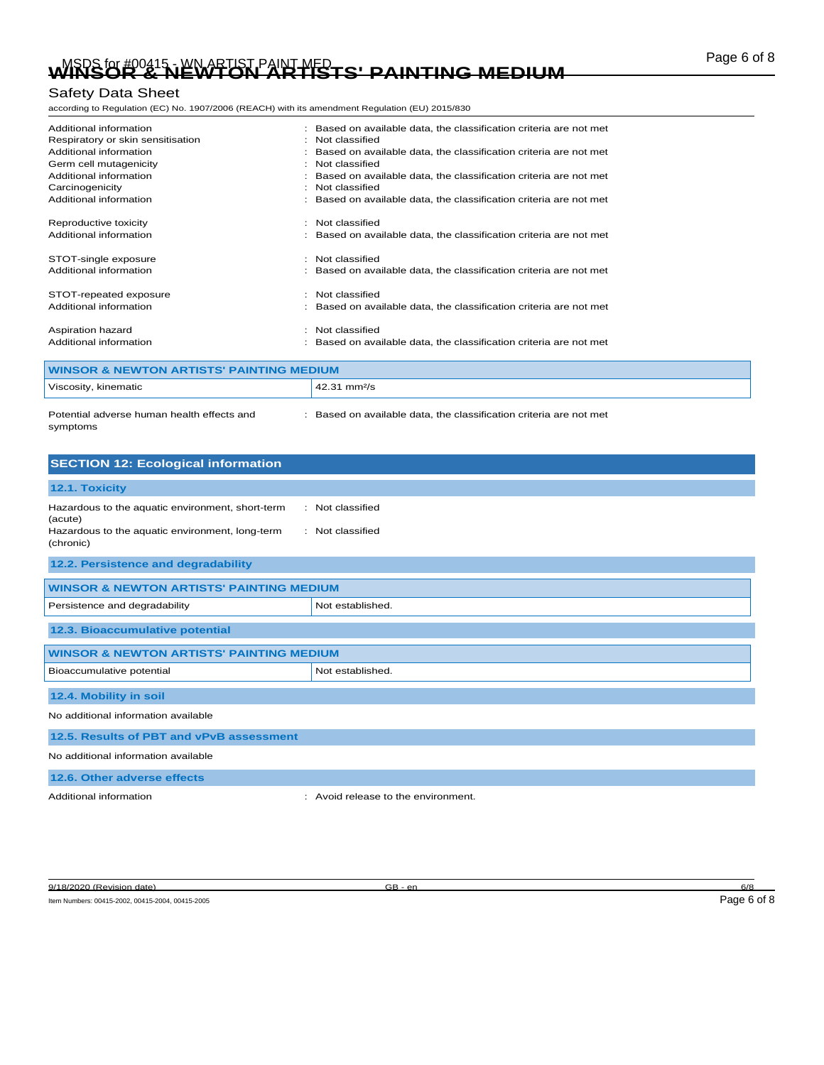# Page 6 of 8 MSDS for #00415 - WN ARTIST PAINT MED **WINSOR & NEWTON ARTISTS' PAINTING MEDIUM**

# Safety Data Sheet

according to Regulation (EC) No. 1907/2006 (REACH) with its amendment Regulation (EU) 2015/830

| Additional information<br>Respiratory or skin sensitisation<br>Additional information<br>Germ cell mutagenicity<br>Additional information<br>Carcinogenicity<br>Additional information |   | Based on available data, the classification criteria are not met<br>Not classified<br>Based on available data, the classification criteria are not met<br>Not classified<br>Based on available data, the classification criteria are not met<br>Not classified<br>Based on available data, the classification criteria are not met |
|----------------------------------------------------------------------------------------------------------------------------------------------------------------------------------------|---|------------------------------------------------------------------------------------------------------------------------------------------------------------------------------------------------------------------------------------------------------------------------------------------------------------------------------------|
| Reproductive toxicity<br>Additional information<br>STOT-single exposure                                                                                                                |   | : Not classified<br>Based on available data, the classification criteria are not met<br>Not classified                                                                                                                                                                                                                             |
| Additional information<br>STOT-repeated exposure<br>Additional information                                                                                                             | ٠ | Based on available data, the classification criteria are not met<br>Not classified<br>Based on available data, the classification criteria are not met                                                                                                                                                                             |
| Aspiration hazard<br>Additional information                                                                                                                                            |   | Not classified<br>Based on available data, the classification criteria are not met                                                                                                                                                                                                                                                 |

| WINSOR & NEWTON ARTISTS' PAINTING MEDIUM               |                                                                  |  |
|--------------------------------------------------------|------------------------------------------------------------------|--|
| Viscosity, kinematic                                   | $42.31$ mm <sup>2</sup> /s                                       |  |
| Potential adverse human health effects and<br>symptoms | Based on available data, the classification criteria are not met |  |

| <b>SECTION 12: Ecological information</b>                                                                                                                           |                                   |  |
|---------------------------------------------------------------------------------------------------------------------------------------------------------------------|-----------------------------------|--|
| 12.1. Toxicity                                                                                                                                                      |                                   |  |
| : Not classified<br>Hazardous to the aquatic environment, short-term<br>(acute)<br>Hazardous to the aquatic environment, long-term<br>: Not classified<br>(chronic) |                                   |  |
| 12.2. Persistence and degradability                                                                                                                                 |                                   |  |
| <b>WINSOR &amp; NEWTON ARTISTS' PAINTING MEDIUM</b>                                                                                                                 |                                   |  |
| Persistence and degradability                                                                                                                                       | Not established.                  |  |
| 12.3. Bioaccumulative potential                                                                                                                                     |                                   |  |
| <b>WINSOR &amp; NEWTON ARTISTS' PAINTING MEDIUM</b>                                                                                                                 |                                   |  |
| Bioaccumulative potential<br>Not established.                                                                                                                       |                                   |  |
| 12.4. Mobility in soil                                                                                                                                              |                                   |  |
| No additional information available                                                                                                                                 |                                   |  |
| 12.5. Results of PBT and vPvB assessment                                                                                                                            |                                   |  |
| No additional information available                                                                                                                                 |                                   |  |
| 12.6. Other adverse effects                                                                                                                                         |                                   |  |
| Additional information<br>٠                                                                                                                                         | Avoid release to the environment. |  |

Item Numbers: 00415-2002, 00415-2004, 00415-2005 Page 6 of 8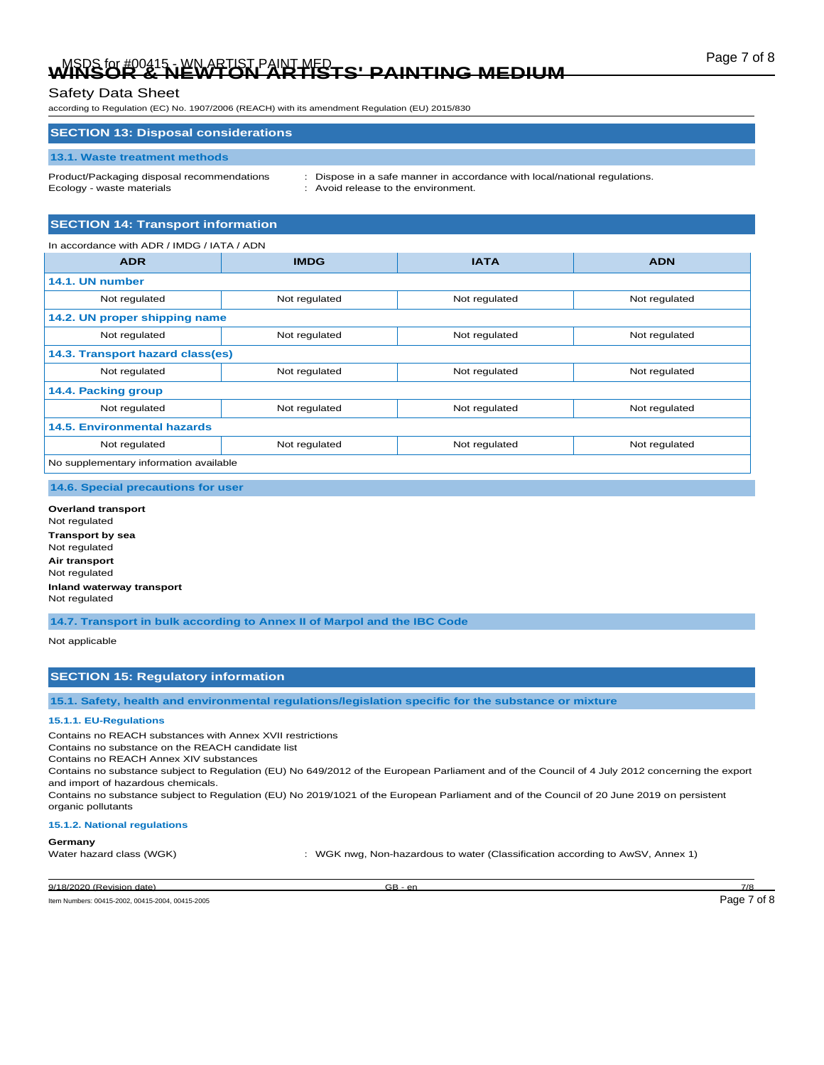# Page 7 of 8 MSDS for #00415 - WN ARTIST PAINT MED **WINSOR & NEWTON ARTISTS' PAINTING MEDIUM**

according to Regulation (EC) No. 1907/2006 (REACH) with its amendment Regulation (EU) 2015/830

### **SECTION 13: Disposal considerations**

#### **13.1. Waste treatment methods**

Product/Packaging disposal recommendations : Dispose in a safe manner in accordance with local/national regulations. Ecology - waste materials **Ecology** - waste materials **in the environment.** 

# **SECTION 14: Transport information**

| In accordance with ADR / IMDG / IATA / ADN |               |               |               |
|--------------------------------------------|---------------|---------------|---------------|
| <b>ADR</b>                                 | <b>IMDG</b>   | <b>IATA</b>   | <b>ADN</b>    |
| 14.1. UN number                            |               |               |               |
| Not regulated                              | Not regulated | Not regulated | Not regulated |
| 14.2. UN proper shipping name              |               |               |               |
| Not regulated                              | Not regulated | Not regulated | Not regulated |
| 14.3. Transport hazard class(es)           |               |               |               |
| Not regulated                              | Not regulated | Not regulated | Not regulated |
| 14.4. Packing group                        |               |               |               |
| Not regulated                              | Not regulated | Not regulated | Not regulated |
| 14.5. Environmental hazards                |               |               |               |
| Not regulated                              | Not regulated | Not regulated | Not regulated |
| No supplementary information available     |               |               |               |

## **14.6. Special precautions for user**

**Overland transport** Not regulated **Transport by sea** Not regulated **Air transport** Not regulated **Inland waterway transport** Not regulated

**14.7. Transport in bulk according to Annex II of Marpol and the IBC Code**

### Not applicable

## **SECTION 15: Regulatory information**

**15.1. Safety, health and environmental regulations/legislation specific for the substance or mixture**

#### **15.1.1. EU-Regulations**

Contains no REACH substances with Annex XVII restrictions

Contains no substance on the REACH candidate list

Contains no REACH Annex XIV substances

Contains no substance subject to Regulation (EU) No 649/2012 of the European Parliament and of the Council of 4 July 2012 concerning the export and import of hazardous chemicals.

Contains no substance subject to Regulation (EU) No 2019/1021 of the European Parliament and of the Council of 20 June 2019 on persistent organic pollutants

#### **15.1.2. National regulations**

### **Germany**

Water hazard class (WGK) : WGK nwg, Non-hazardous to water (Classification according to AwSV, Annex 1)

9/18/2020 (Revision date) GB - en 7/8

Item Numbers: 00415-2002, 00415-2004, 00415-2005 Page 7 of 8